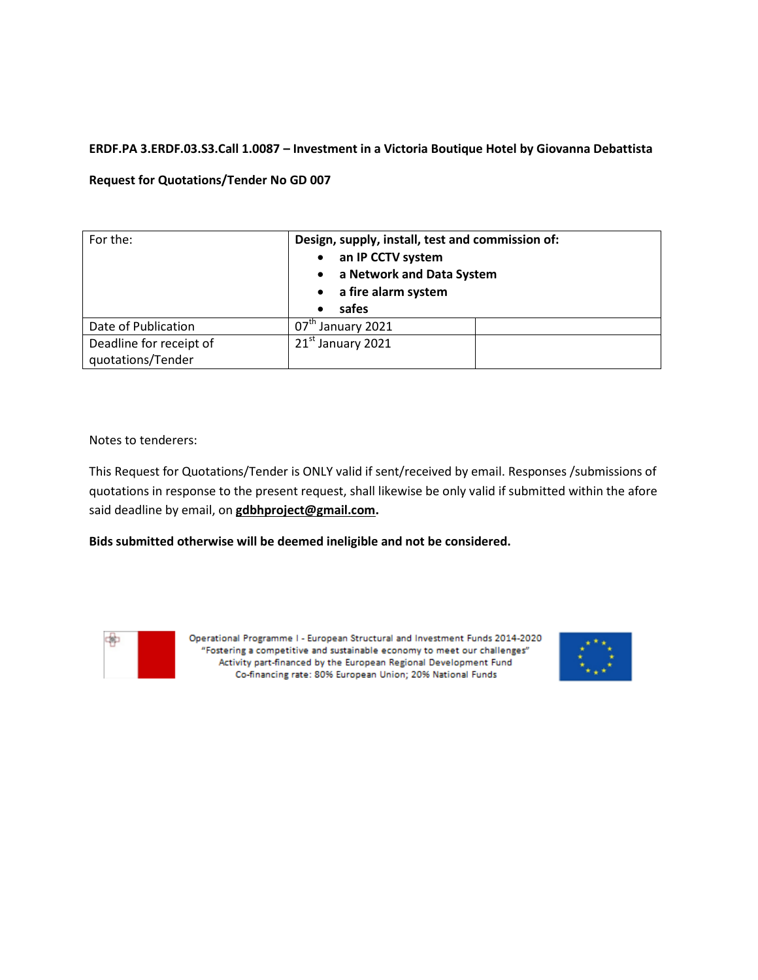## **ERDF.PA 3.ERDF.03.S3.Call 1.0087 – Investment in a Victoria Boutique Hotel by Giovanna Debattista**

### **Request for Quotations/Tender No GD 007**

| For the:                                     | Design, supply, install, test and commission of:<br>an IP CCTV system<br>a Network and Data System<br>a fire alarm system<br>safes<br>$\bullet$ |  |
|----------------------------------------------|-------------------------------------------------------------------------------------------------------------------------------------------------|--|
| Date of Publication                          | $07^{\text{tn}}$ .<br>January 2021                                                                                                              |  |
| Deadline for receipt of<br>quotations/Tender | 21 <sup>st</sup> January 2021                                                                                                                   |  |

Notes to tenderers:

This Request for Quotations/Tender is ONLY valid if sent/received by email. Responses /submissions of quotations in response to the present request, shall likewise be only valid if submitted within the afore said deadline by email, on **gdbhproject@gmail.com.** 

**Bids submitted otherwise will be deemed ineligible and not be considered.**



Operational Programme I - European Structural and Investment Funds 2014-2020 "Fostering a competitive and sustainable economy to meet our challenges" Activity part-financed by the European Regional Development Fund Co-financing rate: 80% European Union; 20% National Funds

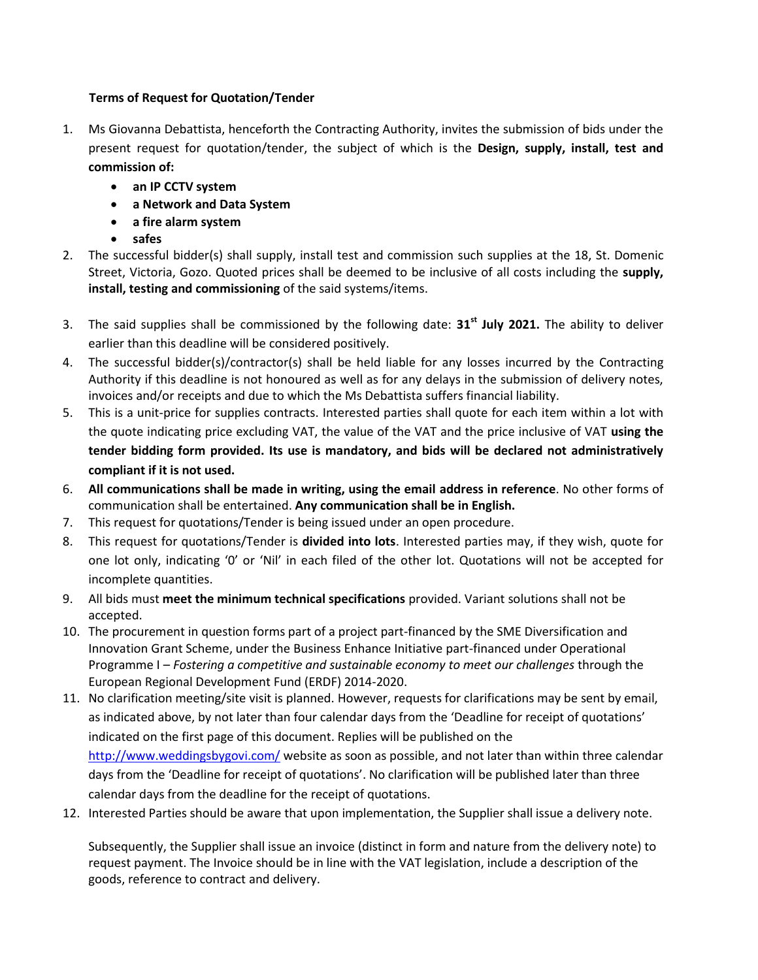# **Terms of Request for Quotation/Tender**

- 1. Ms Giovanna Debattista, henceforth the Contracting Authority, invites the submission of bids under the present request for quotation/tender, the subject of which is the **Design, supply, install, test and commission of:** 
	- **an IP CCTV system**
	- **a Network and Data System**
	- **a fire alarm system**
	- **safes**
- 2. The successful bidder(s) shall supply, install test and commission such supplies at the 18, St. Domenic Street, Victoria, Gozo. Quoted prices shall be deemed to be inclusive of all costs including the **supply, install, testing and commissioning** of the said systems/items.
- 3. The said supplies shall be commissioned by the following date: **31st July 2021.** The ability to deliver earlier than this deadline will be considered positively.
- 4. The successful bidder(s)/contractor(s) shall be held liable for any losses incurred by the Contracting Authority if this deadline is not honoured as well as for any delays in the submission of delivery notes, invoices and/or receipts and due to which the Ms Debattista suffers financial liability.
- 5. This is a unit-price for supplies contracts. Interested parties shall quote for each item within a lot with the quote indicating price excluding VAT, the value of the VAT and the price inclusive of VAT **using the tender bidding form provided. Its use is mandatory, and bids will be declared not administratively compliant if it is not used.**
- 6. **All communications shall be made in writing, using the email address in reference**. No other forms of communication shall be entertained. **Any communication shall be in English.**
- 7. This request for quotations/Tender is being issued under an open procedure.
- 8. This request for quotations/Tender is **divided into lots**. Interested parties may, if they wish, quote for one lot only, indicating '0' or 'Nil' in each filed of the other lot. Quotations will not be accepted for incomplete quantities.
- 9. All bids must **meet the minimum technical specifications** provided. Variant solutions shall not be accepted.
- 10. The procurement in question forms part of a project part-financed by the SME Diversification and Innovation Grant Scheme, under the Business Enhance Initiative part-financed under Operational Programme I – *Fostering a competitive and sustainable economy to meet our challenges* through the European Regional Development Fund (ERDF) 2014-2020.
- 11. No clarification meeting/site visit is planned. However, requests for clarifications may be sent by email, as indicated above, by not later than four calendar days from the 'Deadline for receipt of quotations' indicated on the first page of this document. Replies will be published on the <http://www.weddingsbygovi.com/> website as soon as possible, and not later than within three calendar days from the 'Deadline for receipt of quotations'. No clarification will be published later than three calendar days from the deadline for the receipt of quotations.
- 12. Interested Parties should be aware that upon implementation, the Supplier shall issue a delivery note.

Subsequently, the Supplier shall issue an invoice (distinct in form and nature from the delivery note) to request payment. The Invoice should be in line with the VAT legislation, include a description of the goods, reference to contract and delivery.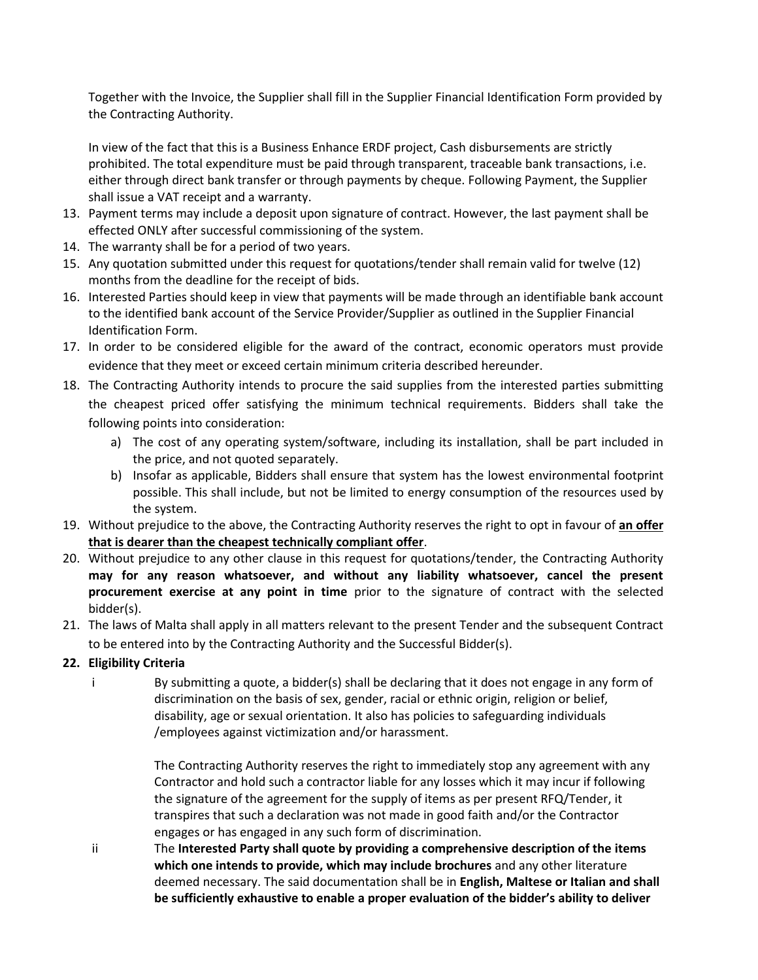Together with the Invoice, the Supplier shall fill in the Supplier Financial Identification Form provided by the Contracting Authority.

In view of the fact that this is a Business Enhance ERDF project, Cash disbursements are strictly prohibited. The total expenditure must be paid through transparent, traceable bank transactions, i.e. either through direct bank transfer or through payments by cheque. Following Payment, the Supplier shall issue a VAT receipt and a warranty.

- 13. Payment terms may include a deposit upon signature of contract. However, the last payment shall be effected ONLY after successful commissioning of the system.
- 14. The warranty shall be for a period of two years.
- 15. Any quotation submitted under this request for quotations/tender shall remain valid for twelve (12) months from the deadline for the receipt of bids.
- 16. Interested Parties should keep in view that payments will be made through an identifiable bank account to the identified bank account of the Service Provider/Supplier as outlined in the Supplier Financial Identification Form.
- 17. In order to be considered eligible for the award of the contract, economic operators must provide evidence that they meet or exceed certain minimum criteria described hereunder.
- 18. The Contracting Authority intends to procure the said supplies from the interested parties submitting the cheapest priced offer satisfying the minimum technical requirements. Bidders shall take the following points into consideration:
	- a) The cost of any operating system/software, including its installation, shall be part included in the price, and not quoted separately.
	- b) Insofar as applicable, Bidders shall ensure that system has the lowest environmental footprint possible. This shall include, but not be limited to energy consumption of the resources used by the system.
- 19. Without prejudice to the above, the Contracting Authority reserves the right to opt in favour of **an offer that is dearer than the cheapest technically compliant offer**.
- 20. Without prejudice to any other clause in this request for quotations/tender, the Contracting Authority **may for any reason whatsoever, and without any liability whatsoever, cancel the present procurement exercise at any point in time** prior to the signature of contract with the selected bidder(s).
- 21. The laws of Malta shall apply in all matters relevant to the present Tender and the subsequent Contract to be entered into by the Contracting Authority and the Successful Bidder(s).

# **22. Eligibility Criteria**

- 
- i By submitting a quote, a bidder(s) shall be declaring that it does not engage in any form of discrimination on the basis of sex, gender, racial or ethnic origin, religion or belief, disability, age or sexual orientation. It also has policies to safeguarding individuals /employees against victimization and/or harassment.

The Contracting Authority reserves the right to immediately stop any agreement with any Contractor and hold such a contractor liable for any losses which it may incur if following the signature of the agreement for the supply of items as per present RFQ/Tender, it transpires that such a declaration was not made in good faith and/or the Contractor engages or has engaged in any such form of discrimination.

ii The **Interested Party shall quote by providing a comprehensive description of the items which one intends to provide, which may include brochures** and any other literature deemed necessary. The said documentation shall be in **English, Maltese or Italian and shall be sufficiently exhaustive to enable a proper evaluation of the bidder's ability to deliver**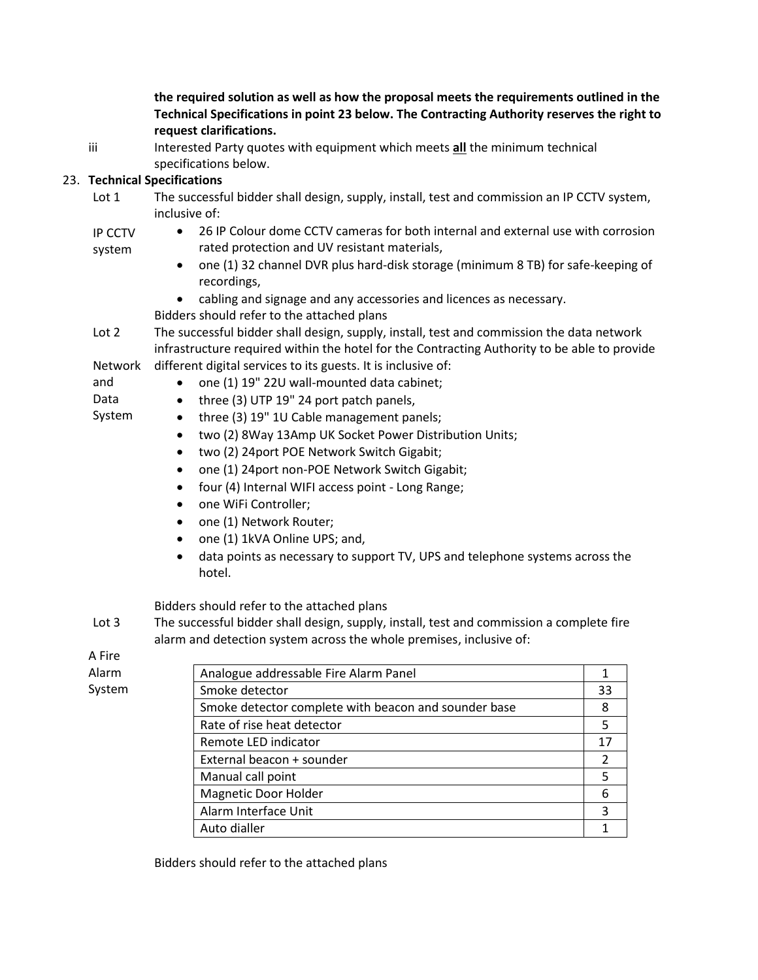**the required solution as well as how the proposal meets the requirements outlined in the Technical Specifications in point 23 below. The Contracting Authority reserves the right to request clarifications.**

iii Interested Party quotes with equipment which meets **all** the minimum technical specifications below.

## 23. **Technical Specifications**

- Lot 1 The successful bidder shall design, supply, install, test and commission an IP CCTV system, inclusive of:
- IP CCTV 26 IP Colour dome CCTV cameras for both internal and external use with corrosion rated protection and UV resistant materials,
	- one (1) 32 channel DVR plus hard-disk storage (minimum 8 TB) for safe-keeping of recordings,
	- cabling and signage and any accessories and licences as necessary.
	- Bidders should refer to the attached plans
- Lot 2 The successful bidder shall design, supply, install, test and commission the data network infrastructure required within the hotel for the Contracting Authority to be able to provide
- Network different digital services to its guests. It is inclusive of: and
	- one (1) 19" 22U wall-mounted data cabinet;
		- three (3) UTP 19" 24 port patch panels,
- Data System

system

- three (3) 19" 1U Cable management panels;
	- two (2) 8Way 13Amp UK Socket Power Distribution Units;
	- two (2) 24 port POE Network Switch Gigabit;
	- one (1) 24 port non-POE Network Switch Gigabit;
	- four (4) Internal WIFI access point Long Range;
	- one WiFi Controller;
	- one (1) Network Router;
	- one (1) 1kVA Online UPS; and,
	- data points as necessary to support TV, UPS and telephone systems across the hotel.

Bidders should refer to the attached plans

Lot 3 The successful bidder shall design, supply, install, test and commission a complete fire alarm and detection system across the whole premises, inclusive of:

A Fire

Alarm System

| Analogue addressable Fire Alarm Panel                |    |
|------------------------------------------------------|----|
| Smoke detector                                       | 33 |
| Smoke detector complete with beacon and sounder base | 8  |
| Rate of rise heat detector                           | 5  |
| Remote LED indicator                                 | 17 |
| External beacon + sounder                            |    |
| Manual call point                                    |    |
| <b>Magnetic Door Holder</b>                          | 6  |
| Alarm Interface Unit                                 | 3  |
| Auto dialler                                         |    |

Bidders should refer to the attached plans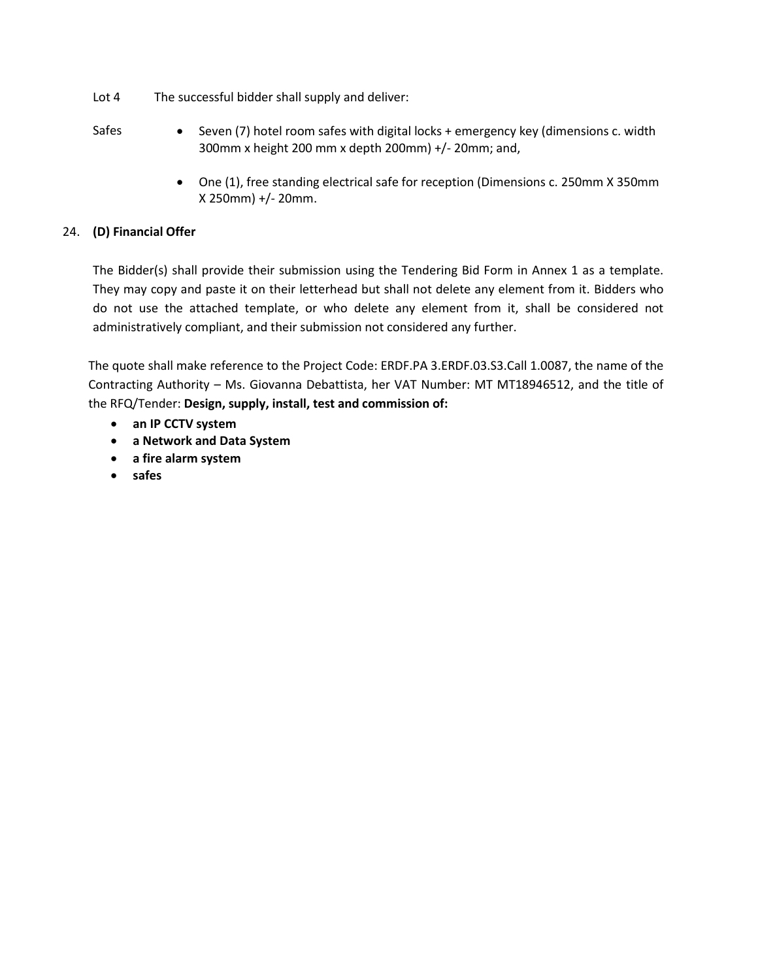- Lot 4 The successful bidder shall supply and deliver:
- Safes Seven (7) hotel room safes with digital locks + emergency key (dimensions c. width 300mm x height 200 mm x depth 200mm) +/- 20mm; and,
	- One (1), free standing electrical safe for reception (Dimensions c. 250mm X 350mm X 250mm) +/- 20mm.

# 24. **(D) Financial Offer**

The Bidder(s) shall provide their submission using the Tendering Bid Form in Annex 1 as a template. They may copy and paste it on their letterhead but shall not delete any element from it. Bidders who do not use the attached template, or who delete any element from it, shall be considered not administratively compliant, and their submission not considered any further.

The quote shall make reference to the Project Code: ERDF.PA 3.ERDF.03.S3.Call 1.0087, the name of the Contracting Authority – Ms. Giovanna Debattista, her VAT Number: MT MT18946512, and the title of the RFQ/Tender: **Design, supply, install, test and commission of:** 

- **an IP CCTV system**
- **a Network and Data System**
- **a fire alarm system**
- **safes**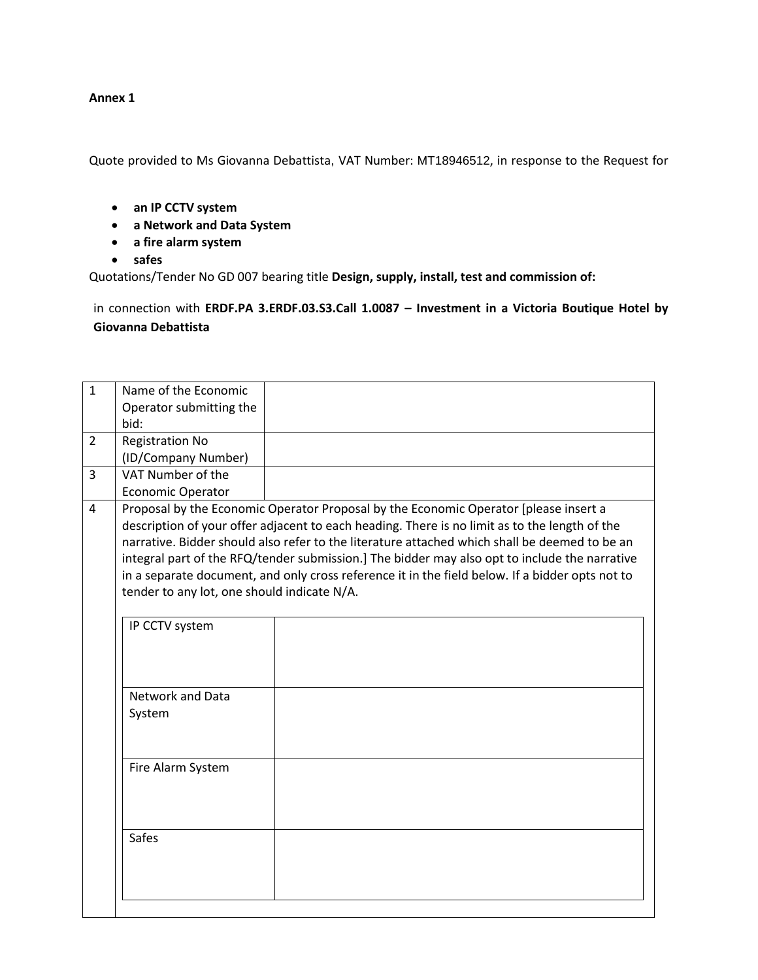#### **Annex 1**

Quote provided to Ms Giovanna Debattista, VAT Number: MT18946512, in response to the Request for

- **an IP CCTV system**
- **a Network and Data System**
- **a fire alarm system**
- **safes**

Quotations/Tender No GD 007 bearing title **Design, supply, install, test and commission of:** 

in connection with **ERDF.PA 3.ERDF.03.S3.Call 1.0087 – Investment in a Victoria Boutique Hotel by Giovanna Debattista**

| $\mathbf{1}$   | Name of the Economic                                                                            |                                                                                               |  |  |  |  |
|----------------|-------------------------------------------------------------------------------------------------|-----------------------------------------------------------------------------------------------|--|--|--|--|
|                | Operator submitting the                                                                         |                                                                                               |  |  |  |  |
|                |                                                                                                 |                                                                                               |  |  |  |  |
|                | bid:                                                                                            |                                                                                               |  |  |  |  |
| 2              | <b>Registration No</b>                                                                          |                                                                                               |  |  |  |  |
|                | (ID/Company Number)                                                                             |                                                                                               |  |  |  |  |
| $\overline{3}$ | VAT Number of the                                                                               |                                                                                               |  |  |  |  |
|                | Economic Operator                                                                               |                                                                                               |  |  |  |  |
| 4              |                                                                                                 | Proposal by the Economic Operator Proposal by the Economic Operator [please insert a          |  |  |  |  |
|                | description of your offer adjacent to each heading. There is no limit as to the length of the   |                                                                                               |  |  |  |  |
|                |                                                                                                 | narrative. Bidder should also refer to the literature attached which shall be deemed to be an |  |  |  |  |
|                |                                                                                                 | integral part of the RFQ/tender submission.] The bidder may also opt to include the narrative |  |  |  |  |
|                | in a separate document, and only cross reference it in the field below. If a bidder opts not to |                                                                                               |  |  |  |  |
|                | tender to any lot, one should indicate N/A.                                                     |                                                                                               |  |  |  |  |
|                |                                                                                                 |                                                                                               |  |  |  |  |
|                | IP CCTV system                                                                                  |                                                                                               |  |  |  |  |
|                |                                                                                                 |                                                                                               |  |  |  |  |
|                |                                                                                                 |                                                                                               |  |  |  |  |
|                |                                                                                                 |                                                                                               |  |  |  |  |
|                | Network and Data                                                                                |                                                                                               |  |  |  |  |
|                |                                                                                                 |                                                                                               |  |  |  |  |
|                | System                                                                                          |                                                                                               |  |  |  |  |
|                |                                                                                                 |                                                                                               |  |  |  |  |
|                |                                                                                                 |                                                                                               |  |  |  |  |
|                | Fire Alarm System                                                                               |                                                                                               |  |  |  |  |
|                |                                                                                                 |                                                                                               |  |  |  |  |
|                |                                                                                                 |                                                                                               |  |  |  |  |
|                |                                                                                                 |                                                                                               |  |  |  |  |
|                | <b>Safes</b>                                                                                    |                                                                                               |  |  |  |  |
|                |                                                                                                 |                                                                                               |  |  |  |  |
|                |                                                                                                 |                                                                                               |  |  |  |  |
|                |                                                                                                 |                                                                                               |  |  |  |  |
|                |                                                                                                 |                                                                                               |  |  |  |  |
|                |                                                                                                 |                                                                                               |  |  |  |  |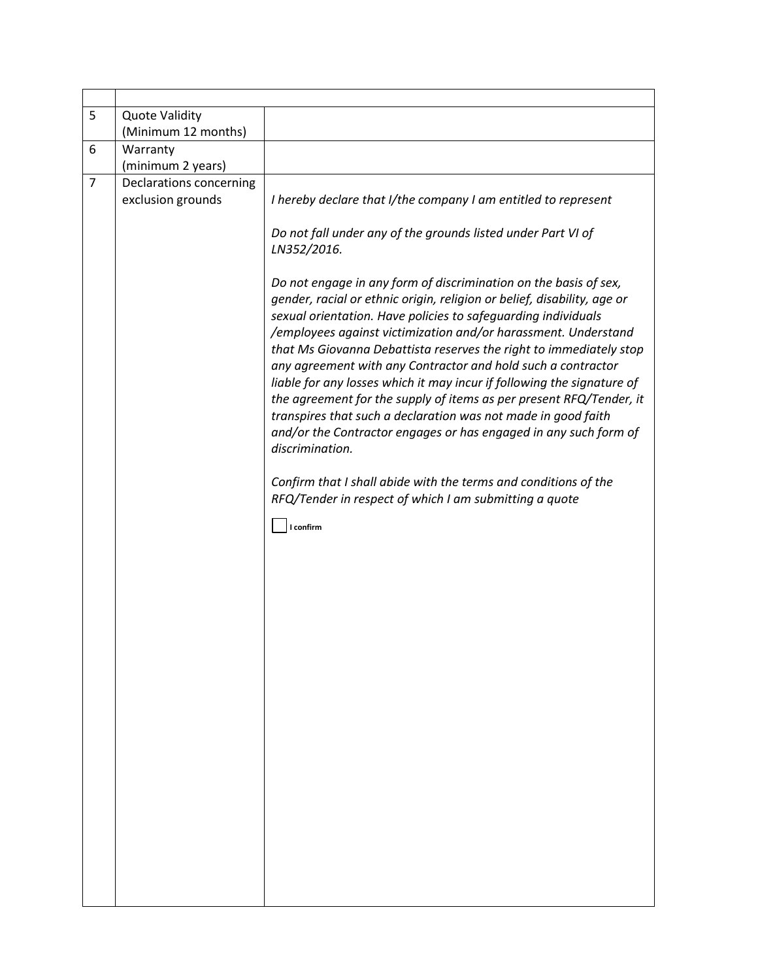| 5              | <b>Quote Validity</b><br>(Minimum 12 months) |                                                                                                                                                                                                                                                                                                                                                                                                                                                                                                                                                                                                                                                                                                                               |  |  |  |
|----------------|----------------------------------------------|-------------------------------------------------------------------------------------------------------------------------------------------------------------------------------------------------------------------------------------------------------------------------------------------------------------------------------------------------------------------------------------------------------------------------------------------------------------------------------------------------------------------------------------------------------------------------------------------------------------------------------------------------------------------------------------------------------------------------------|--|--|--|
| 6              | Warranty                                     |                                                                                                                                                                                                                                                                                                                                                                                                                                                                                                                                                                                                                                                                                                                               |  |  |  |
|                | (minimum 2 years)                            |                                                                                                                                                                                                                                                                                                                                                                                                                                                                                                                                                                                                                                                                                                                               |  |  |  |
| $\overline{7}$ | Declarations concerning<br>exclusion grounds | I hereby declare that I/the company I am entitled to represent                                                                                                                                                                                                                                                                                                                                                                                                                                                                                                                                                                                                                                                                |  |  |  |
|                |                                              | Do not fall under any of the grounds listed under Part VI of<br>LN352/2016.                                                                                                                                                                                                                                                                                                                                                                                                                                                                                                                                                                                                                                                   |  |  |  |
|                |                                              | Do not engage in any form of discrimination on the basis of sex,<br>gender, racial or ethnic origin, religion or belief, disability, age or<br>sexual orientation. Have policies to safeguarding individuals<br>/employees against victimization and/or harassment. Understand<br>that Ms Giovanna Debattista reserves the right to immediately stop<br>any agreement with any Contractor and hold such a contractor<br>liable for any losses which it may incur if following the signature of<br>the agreement for the supply of items as per present RFQ/Tender, it<br>transpires that such a declaration was not made in good faith<br>and/or the Contractor engages or has engaged in any such form of<br>discrimination. |  |  |  |
|                |                                              | Confirm that I shall abide with the terms and conditions of the<br>RFQ/Tender in respect of which I am submitting a quote                                                                                                                                                                                                                                                                                                                                                                                                                                                                                                                                                                                                     |  |  |  |
|                |                                              | I confirm                                                                                                                                                                                                                                                                                                                                                                                                                                                                                                                                                                                                                                                                                                                     |  |  |  |
|                |                                              |                                                                                                                                                                                                                                                                                                                                                                                                                                                                                                                                                                                                                                                                                                                               |  |  |  |
|                |                                              |                                                                                                                                                                                                                                                                                                                                                                                                                                                                                                                                                                                                                                                                                                                               |  |  |  |
|                |                                              |                                                                                                                                                                                                                                                                                                                                                                                                                                                                                                                                                                                                                                                                                                                               |  |  |  |
|                |                                              |                                                                                                                                                                                                                                                                                                                                                                                                                                                                                                                                                                                                                                                                                                                               |  |  |  |
|                |                                              |                                                                                                                                                                                                                                                                                                                                                                                                                                                                                                                                                                                                                                                                                                                               |  |  |  |
|                |                                              |                                                                                                                                                                                                                                                                                                                                                                                                                                                                                                                                                                                                                                                                                                                               |  |  |  |
|                |                                              |                                                                                                                                                                                                                                                                                                                                                                                                                                                                                                                                                                                                                                                                                                                               |  |  |  |
|                |                                              |                                                                                                                                                                                                                                                                                                                                                                                                                                                                                                                                                                                                                                                                                                                               |  |  |  |
|                |                                              |                                                                                                                                                                                                                                                                                                                                                                                                                                                                                                                                                                                                                                                                                                                               |  |  |  |
|                |                                              |                                                                                                                                                                                                                                                                                                                                                                                                                                                                                                                                                                                                                                                                                                                               |  |  |  |
|                |                                              |                                                                                                                                                                                                                                                                                                                                                                                                                                                                                                                                                                                                                                                                                                                               |  |  |  |